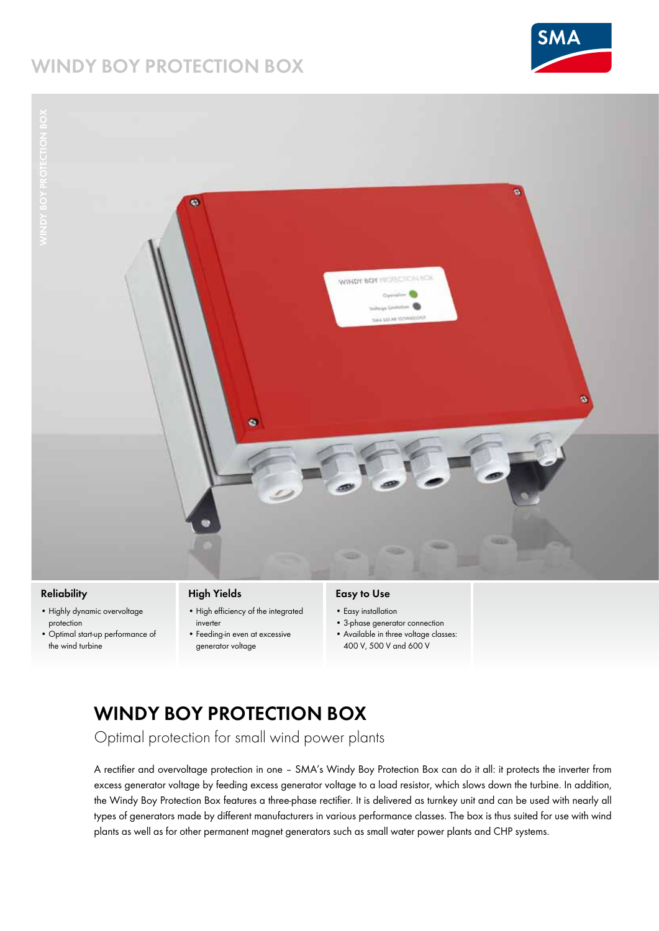## **WINDY BOY Protection box**





### **Reliability**

- • Highly dynamic overvoltage protection
- • Optimal start-up performance of the wind turbine

## **High Yields**

- • High efficiency of the integrated inverter
- • Feeding-in even at excessive generator voltage

### **Easy to Use**

- Easy installation
- • 3-phase generator connection
- • Available in three voltage classes:
- 400 V, 500 V and 600 V

# **Windy Boy PROTECTION BOX**

Optimal protection for small wind power plants

A rectifier and overvoltage protection in one – SMA's Windy Boy Protection Box can do it all: it protects the inverter from excess generator voltage by feeding excess generator voltage to a load resistor, which slows down the turbine. In addition, the Windy Boy Protection Box features a three-phase rectifier. It is delivered as turnkey unit and can be used with nearly all types of generators made by different manufacturers in various performance classes. The box is thus suited for use with wind plants as well as for other permanent magnet generators such as small water power plants and CHP systems.